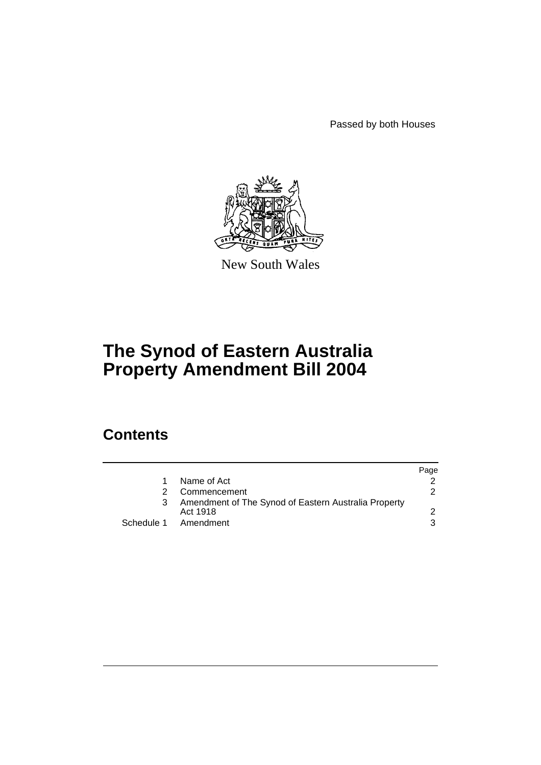Passed by both Houses



New South Wales

# **The Synod of Eastern Australia Property Amendment Bill 2004**

# **Contents**

|               |                                                                  | Page          |
|---------------|------------------------------------------------------------------|---------------|
|               | Name of Act                                                      |               |
| $\mathcal{P}$ | Commencement                                                     | $\mathcal{P}$ |
| 3             | Amendment of The Synod of Eastern Australia Property<br>Act 1918 |               |
|               | Schedule 1 Amendment                                             | 3             |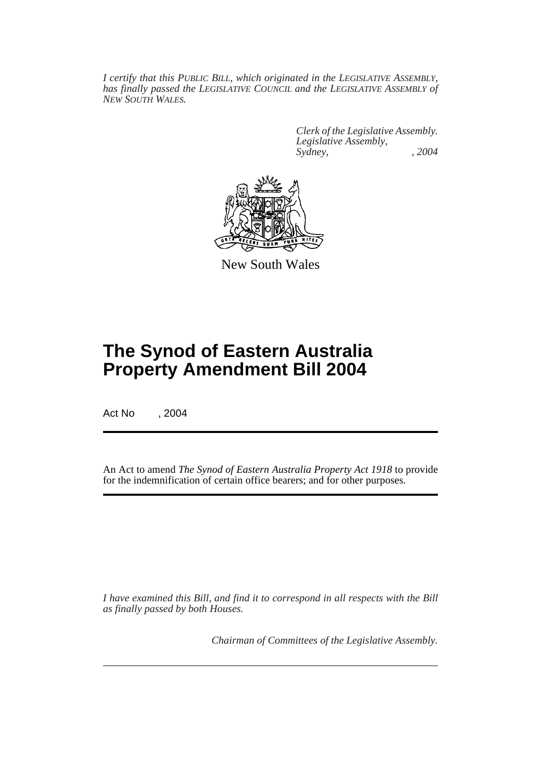*I certify that this PUBLIC BILL, which originated in the LEGISLATIVE ASSEMBLY, has finally passed the LEGISLATIVE COUNCIL and the LEGISLATIVE ASSEMBLY of NEW SOUTH WALES.*

> *Clerk of the Legislative Assembly. Legislative Assembly, Sydney, , 2004*



New South Wales

# **The Synod of Eastern Australia Property Amendment Bill 2004**

Act No , 2004

An Act to amend *The Synod of Eastern Australia Property Act 1918* to provide for the indemnification of certain office bearers; and for other purposes.

*I have examined this Bill, and find it to correspond in all respects with the Bill as finally passed by both Houses.*

*Chairman of Committees of the Legislative Assembly.*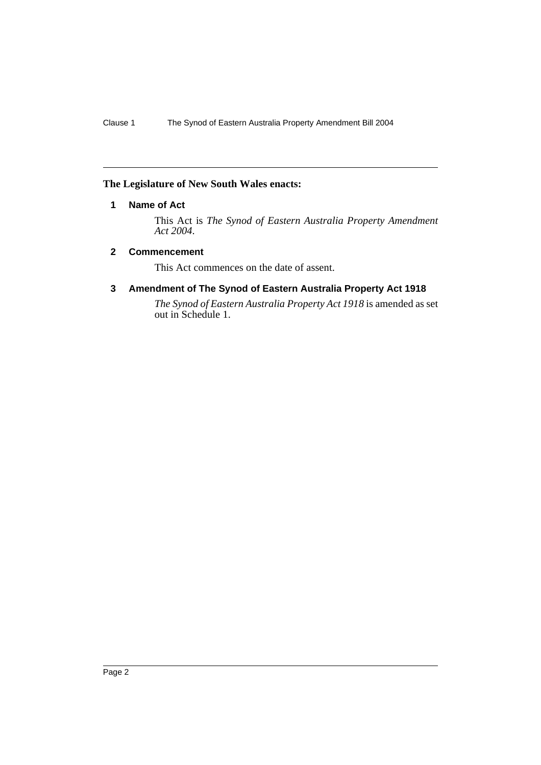### **The Legislature of New South Wales enacts:**

### **1 Name of Act**

This Act is *The Synod of Eastern Australia Property Amendment Act 2004*.

#### **2 Commencement**

This Act commences on the date of assent.

### **3 Amendment of The Synod of Eastern Australia Property Act 1918**

*The Synod of Eastern Australia Property Act 1918* is amended as set out in Schedule 1.